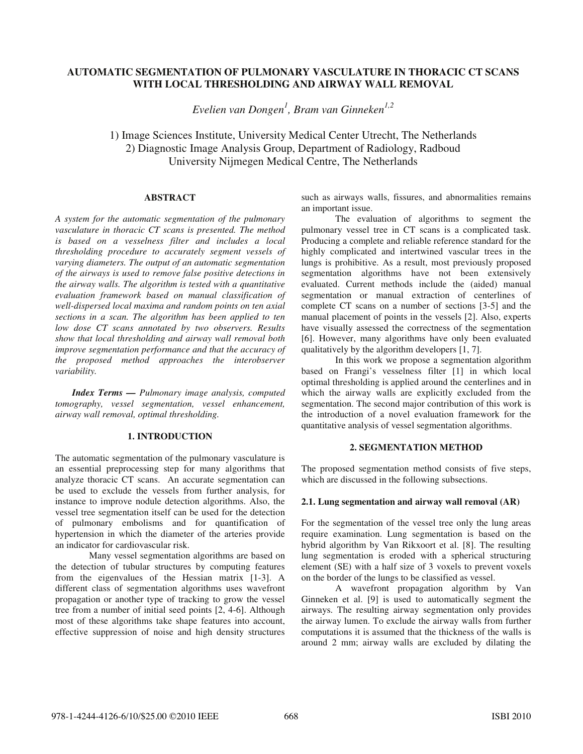# **AUTOMATIC SEGMENTATION OF PULMONARY VASCULATURE IN THORACIC CT SCANS WITH LOCAL THRESHOLDING AND AIRWAY WALL REMOVAL**

*Evelien van Dongen<sup>1</sup> , Bram van Ginneken1,2*

1) Image Sciences Institute, University Medical Center Utrecht, The Netherlands 2) Diagnostic Image Analysis Group, Department of Radiology, Radboud University Nijmegen Medical Centre, The Netherlands

### **ABSTRACT**

*A system for the automatic segmentation of the pulmonary vasculature in thoracic CT scans is presented. The method is based on a vesselness filter and includes a local thresholding procedure to accurately segment vessels of varying diameters. The output of an automatic segmentation of the airways is used to remove false positive detections in the airway walls. The algorithm is tested with a quantitative evaluation framework based on manual classification of well-dispersed local maxima and random points on ten axial sections in a scan. The algorithm has been applied to ten low dose CT scans annotated by two observers. Results show that local thresholding and airway wall removal both improve segmentation performance and that the accuracy of the proposed method approaches the interobserver variability.* 

*Index Terms — Pulmonary image analysis, computed tomography, vessel segmentation, vessel enhancement, airway wall removal, optimal thresholding.*

# **1. INTRODUCTION**

The automatic segmentation of the pulmonary vasculature is an essential preprocessing step for many algorithms that analyze thoracic CT scans. An accurate segmentation can be used to exclude the vessels from further analysis, for instance to improve nodule detection algorithms. Also, the vessel tree segmentation itself can be used for the detection of pulmonary embolisms and for quantification of hypertension in which the diameter of the arteries provide an indicator for cardiovascular risk.

 Many vessel segmentation algorithms are based on the detection of tubular structures by computing features from the eigenvalues of the Hessian matrix [1-3]. A different class of segmentation algorithms uses wavefront propagation or another type of tracking to grow the vessel tree from a number of initial seed points [2, 4-6]. Although most of these algorithms take shape features into account, effective suppression of noise and high density structures

such as airways walls, fissures, and abnormalities remains an important issue.

 The evaluation of algorithms to segment the pulmonary vessel tree in CT scans is a complicated task. Producing a complete and reliable reference standard for the highly complicated and intertwined vascular trees in the lungs is prohibitive. As a result, most previously proposed segmentation algorithms have not been extensively evaluated. Current methods include the (aided) manual segmentation or manual extraction of centerlines of complete CT scans on a number of sections [3-5] and the manual placement of points in the vessels [2]. Also, experts have visually assessed the correctness of the segmentation [6]. However, many algorithms have only been evaluated qualitatively by the algorithm developers [1, 7].

 In this work we propose a segmentation algorithm based on Frangi's vesselness filter [1] in which local optimal thresholding is applied around the centerlines and in which the airway walls are explicitly excluded from the segmentation. The second major contribution of this work is the introduction of a novel evaluation framework for the quantitative analysis of vessel segmentation algorithms.

# **2. SEGMENTATION METHOD**

The proposed segmentation method consists of five steps, which are discussed in the following subsections.

#### **2.1. Lung segmentation and airway wall removal (AR)**

For the segmentation of the vessel tree only the lung areas require examination. Lung segmentation is based on the hybrid algorithm by Van Rikxoort et al. [8]. The resulting lung segmentation is eroded with a spherical structuring element (SE) with a half size of 3 voxels to prevent voxels on the border of the lungs to be classified as vessel.

 A wavefront propagation algorithm by Van Ginneken et al. [9] is used to automatically segment the airways. The resulting airway segmentation only provides the airway lumen. To exclude the airway walls from further computations it is assumed that the thickness of the walls is around 2 mm; airway walls are excluded by dilating the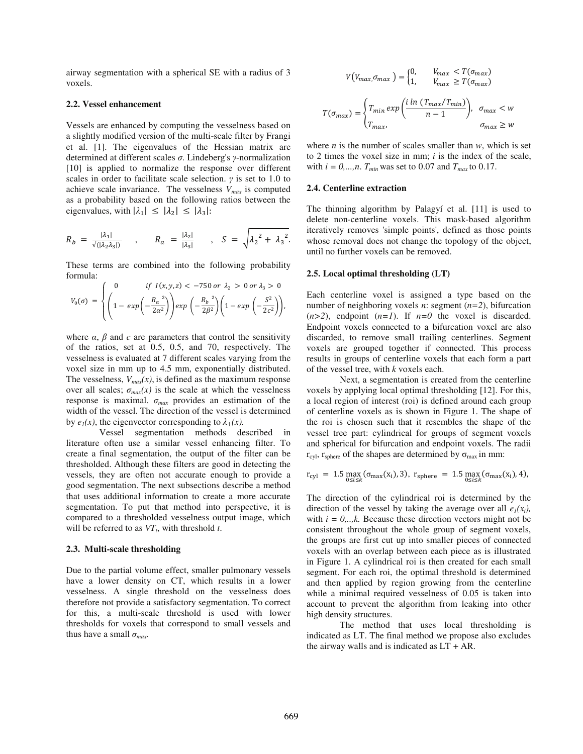airway segmentation with a spherical SE with a radius of 3 voxels.

## **2.2. Vessel enhancement**

Vessels are enhanced by computing the vesselness based on a slightly modified version of the multi-scale filter by Frangi et al. [1]. The eigenvalues of the Hessian matrix are determined at different scales  $\sigma$ . Lindeberg's  $\gamma$ -normalization [10] is applied to normalize the response over different scales in order to facilitate scale selection.  $\gamma$  is set to 1.0 to achieve scale invariance. The vesselness  $V_{max}$  is computed as a probability based on the following ratios between the eigenvalues, with  $|\lambda_1| \leq |\lambda_2| \leq |\lambda_3|$ :

$$
R_b = \frac{|\lambda_1|}{\sqrt{(|\lambda_2 \lambda_3|)}}
$$
,  $R_a = \frac{|\lambda_2|}{|\lambda_3|}$ ,  $S = \sqrt{{\lambda_2}^2 + {\lambda_3}^2}$ .

These terms are combined into the following probability formula:

$$
V_0(\sigma) = \begin{cases} 0 & \text{if } I(x, y, z) < -750 \text{ or } \lambda_2 > 0 \text{ or } \lambda_3 > 0 \\ \left(1 - \exp\left(-\frac{R_a^2}{2\alpha^2}\right)\right) \exp\left(-\frac{R_b^2}{2\beta^2}\right) \left(1 - \exp\left(-\frac{S^2}{2c^2}\right)\right), \end{cases}
$$

where  $\alpha$ ,  $\beta$  and  $c$  are parameters that control the sensitivity of the ratios, set at 0.5, 0.5, and 70, respectively. The vesselness is evaluated at 7 different scales varying from the voxel size in mm up to 4.5 mm, exponentially distributed. The vesselness,  $V_{max}(x)$ , is defined as the maximum response over all scales;  $\sigma_{max}(x)$  is the scale at which the vesselness response is maximal.  $\sigma_{max}$  provides an estimation of the width of the vessel. The direction of the vessel is determined by  $e_1(x)$ , the eigenvector corresponding to  $\lambda_1(x)$ .

 Vessel segmentation methods described in literature often use a similar vessel enhancing filter. To create a final segmentation, the output of the filter can be thresholded. Although these filters are good in detecting the vessels, they are often not accurate enough to provide a good segmentation. The next subsections describe a method that uses additional information to create a more accurate segmentation. To put that method into perspective, it is compared to a thresholded vesselness output image, which will be referred to as  $VT_t$ , with threshold *t*.

#### **2.3. Multi-scale thresholding**

Due to the partial volume effect, smaller pulmonary vessels have a lower density on CT, which results in a lower vesselness. A single threshold on the vesselness does therefore not provide a satisfactory segmentation. To correct for this, a multi-scale threshold is used with lower thresholds for voxels that correspond to small vessels and thus have a small  $\sigma_{max}$ .

$$
V(V_{max}, \sigma_{max}) = \begin{cases} 0, & V_{max} < T(\sigma_{max}) \\ 1, & V_{max} \ge T(\sigma_{max}) \end{cases}
$$

$$
T(\sigma_{max}) = \begin{cases} T_{min} \exp\left(\frac{i \ln (T_{max}/T_{min})}{n - 1}\right), & \sigma_{max} < w \\ T_{max}, & \sigma_{max} \ge W \end{cases}
$$

where *n* is the number of scales smaller than *w*, which is set to 2 times the voxel size in mm; *i* is the index of the scale, with  $i = 0,...,n$ .  $T_{min}$  was set to 0.07 and  $T_{max}$  to 0.17.

### **2.4. Centerline extraction**

The thinning algorithm by Palagyí et al. [11] is used to delete non-centerline voxels. This mask-based algorithm iteratively removes 'simple points', defined as those points whose removal does not change the topology of the object, until no further voxels can be removed.

#### **2.5. Local optimal thresholding (LT)**

Each centerline voxel is assigned a type based on the number of neighboring voxels *n*: segment (*n=2*), bifurcation  $(n>2)$ , endpoint  $(n=1)$ . If  $n=0$  the voxel is discarded. Endpoint voxels connected to a bifurcation voxel are also discarded, to remove small trailing centerlines. Segment voxels are grouped together if connected. This process results in groups of centerline voxels that each form a part of the vessel tree, with *k* voxels each.

 Next, a segmentation is created from the centerline voxels by applying local optimal thresholding [12]. For this, a local region of interest (roi) is defined around each group of centerline voxels as is shown in Figure 1. The shape of the roi is chosen such that it resembles the shape of the vessel tree part: cylindrical for groups of segment voxels and spherical for bifurcation and endpoint voxels. The radii  $r_{\text{cyl}}$ ,  $r_{\text{sphere}}$  of the shapes are determined by  $\sigma_{\text{max}}$  in mm:

$$
r_{cyl} = 1.5 \max_{0 \le i \le k} (\sigma_{\max}(x_i), 3), r_{sphere} = 1.5 \max_{0 \le i \le k} (\sigma_{\max}(x_i), 4),
$$

The direction of the cylindrical roi is determined by the direction of the vessel by taking the average over all  $e_1(x_i)$ , with  $i = 0, \ldots, k$ . Because these direction vectors might not be consistent throughout the whole group of segment voxels, the groups are first cut up into smaller pieces of connected voxels with an overlap between each piece as is illustrated in Figure 1. A cylindrical roi is then created for each small segment. For each roi, the optimal threshold is determined and then applied by region growing from the centerline while a minimal required vesselness of 0.05 is taken into account to prevent the algorithm from leaking into other high density structures.

 The method that uses local thresholding is indicated as LT. The final method we propose also excludes the airway walls and is indicated as LT + AR.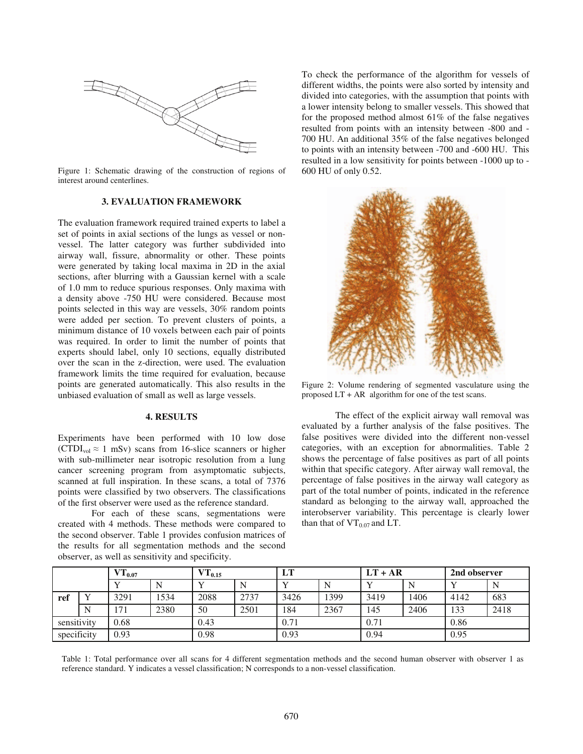

Figure 1: Schematic drawing of the construction of regions of interest around centerlines.

## **3. EVALUATION FRAMEWORK**

The evaluation framework required trained experts to label a set of points in axial sections of the lungs as vessel or nonvessel. The latter category was further subdivided into airway wall, fissure, abnormality or other. These points were generated by taking local maxima in 2D in the axial sections, after blurring with a Gaussian kernel with a scale of 1.0 mm to reduce spurious responses. Only maxima with a density above -750 HU were considered. Because most points selected in this way are vessels, 30% random points were added per section. To prevent clusters of points, a minimum distance of 10 voxels between each pair of points was required. In order to limit the number of points that experts should label, only 10 sections, equally distributed over the scan in the z-direction, were used. The evaluation framework limits the time required for evaluation, because points are generated automatically. This also results in the unbiased evaluation of small as well as large vessels.

#### **4. RESULTS**

Experiments have been performed with 10 low dose  $(CTDI<sub>vol</sub> \approx 1$  mSv) scans from 16-slice scanners or higher with sub-millimeter near isotropic resolution from a lung cancer screening program from asymptomatic subjects, scanned at full inspiration. In these scans, a total of 7376 points were classified by two observers. The classifications of the first observer were used as the reference standard.

 For each of these scans, segmentations were created with 4 methods. These methods were compared to the second observer. Table 1 provides confusion matrices of the results for all segmentation methods and the second observer, as well as sensitivity and specificity.

To check the performance of the algorithm for vessels of different widths, the points were also sorted by intensity and divided into categories, with the assumption that points with a lower intensity belong to smaller vessels. This showed that for the proposed method almost  $61\%$  of the false negatives resulted from points with an intensity between -800 and - 700 HU. An additional 35% of the false negatives belonged to points with an intensity between -700 and -600 HU. This resulted in a low sensitivity for points between -1000 up to - 600 HU of only 0.52.



Figure 2: Volume rendering of segmented vasculature using the proposed LT + AR algorithm for one of the test scans.

 The effect of the explicit airway wall removal was evaluated by a further analysis of the false positives. The false positives were divided into the different non-vessel categories, with an exception for abnormalities. Table 2 shows the percentage of false positives as part of all points within that specific category. After airway wall removal, the percentage of false positives in the airway wall category as part of the total number of points, indicated in the reference standard as belonging to the airway wall, approached the interobserver variability. This percentage is clearly lower than that of  $VT_{0.07}$  and LT.

|             |              | $\rm{vr}_{0.07}$ |      | $\rm{VT}_{0.15}$ |      | LT           |      | $LT + AR$ |      | 2nd observer |      |
|-------------|--------------|------------------|------|------------------|------|--------------|------|-----------|------|--------------|------|
|             |              |                  | N    |                  |      | $\mathbf{v}$ | N    |           | N    |              |      |
| ref         | $\mathbf{v}$ | 3291             | 534  | 2088             | 2737 | 3426         | 1399 | 3419      | 1406 | 4142         | 683  |
|             | N            | 171              | 2380 | 50               | 2501 | 184          | 2367 | 145       | 2406 | 133          | 2418 |
| sensitivity |              | 0.68             |      | 0.43             |      | 0.71         |      | 0.71      |      | 0.86         |      |
| specificity |              | 0.93             |      | 0.98             |      | 0.93         |      | 0.94      |      | 0.95         |      |

Table 1: Total performance over all scans for 4 different segmentation methods and the second human observer with observer 1 as reference standard. Y indicates a vessel classification; N corresponds to a non-vessel classification.